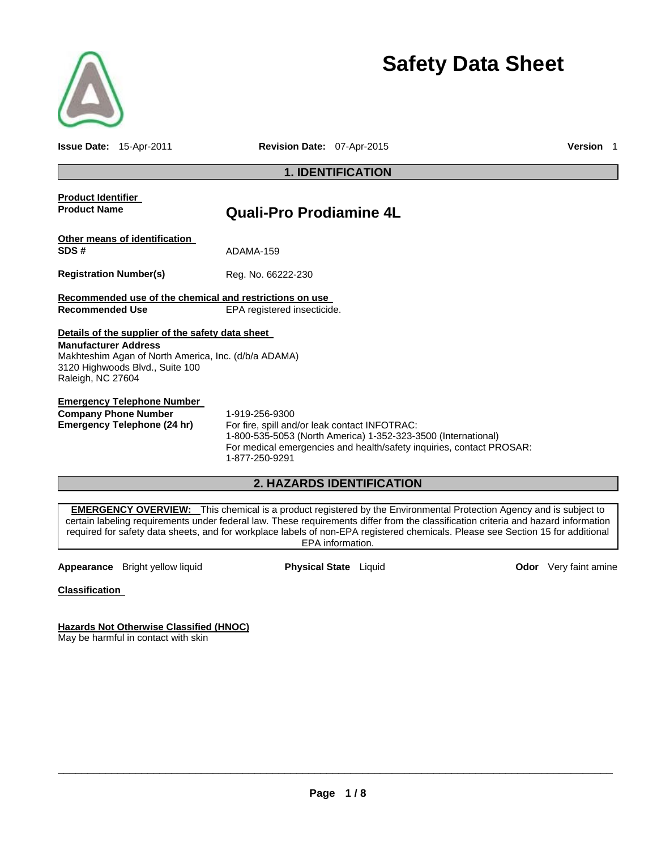

# **Safety Data Sheet**

**Issue Date:** 15-Apr-2011 **Revision Date:** 07-Apr-2015 **Version** 1

## **1. IDENTIFICATION Product Identifier Product Name Quali-Pro Prodiamine 4L Other means of identification SDS #** ADAMA-159 **Registration Number(s)** Reg. No. 66222-230 **Recommended use of the chemical and restrictions on use Recommended Use** EPA registered insecticide. **Details of the supplier of the safety data sheet Manufacturer Address**  Makhteshim Agan of North America, Inc. (d/b/a ADAMA) 3120 Highwoods Blvd., Suite 100 Raleigh, NC 27604

**Emergency Telephone Number Company Phone Number** 1-919-256-9300

**Emergency Telephone (24 hr)** For fire, spill and/or leak contact INFOTRAC: 1-800-535-5053 (North America) 1-352-323-3500 (International) For medical emergencies and health/safety inquiries, contact PROSAR: 1-877-250-9291

## **2. HAZARDS IDENTIFICATION**

**EMERGENCY OVERVIEW:** This chemical is a product registered by the Environmental Protection Agency and is subject to certain labeling requirements under federal law. These requirements differ from the classification criteria and hazard information required for safety data sheets, and for workplace labels of non-EPA registered chemicals. Please see Section 15 for additional EPA information.

**Appearance** Bright yellow liquid **Physical State** Liquid **Connect Appearance Odor** Very faint amine

**Classification** 

**Hazards Not Otherwise Classified (HNOC)**  May be harmful in contact with skin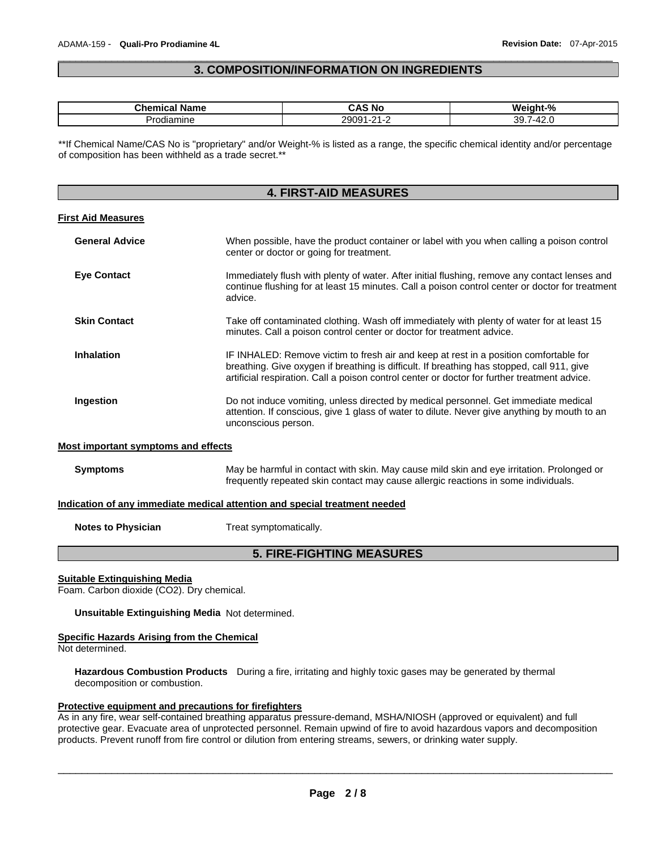## $\Box$ **3. COMPOSITION/INFORMATION ON INGREDIENTS**

| $-$<br>----<br>-nr<br>arne<br>. . | ⊺ NC                | $\mathbf{0}$<br>W<br>7٥<br>ш. |
|-----------------------------------|---------------------|-------------------------------|
| ,,,,<br>amıne                     | י ה<br>$\sim$<br>__ | રા<br>$ -$<br>___             |

\*\*If Chemical Name/CAS No is "proprietary" and/or Weight-% is listed as a range, the specific chemical identity and/or percentage of composition has been withheld as a trade secret.\*\*

## **4. FIRST-AID MEASURES**

#### **First Aid Measures**

| <b>General Advice</b> | When possible, have the product container or label with you when calling a poison control<br>center or doctor or going for treatment.                                                                                                                                               |
|-----------------------|-------------------------------------------------------------------------------------------------------------------------------------------------------------------------------------------------------------------------------------------------------------------------------------|
| <b>Eye Contact</b>    | Immediately flush with plenty of water. After initial flushing, remove any contact lenses and<br>continue flushing for at least 15 minutes. Call a poison control center or doctor for treatment<br>advice.                                                                         |
| <b>Skin Contact</b>   | Take off contaminated clothing. Wash off immediately with plenty of water for at least 15<br>minutes. Call a poison control center or doctor for treatment advice.                                                                                                                  |
| <b>Inhalation</b>     | IF INHALED: Remove victim to fresh air and keep at rest in a position comfortable for<br>breathing. Give oxygen if breathing is difficult. If breathing has stopped, call 911, give<br>artificial respiration. Call a poison control center or doctor for further treatment advice. |
| Ingestion             | Do not induce vomiting, unless directed by medical personnel. Get immediate medical<br>attention. If conscious, give 1 glass of water to dilute. Never give anything by mouth to an<br>unconscious person.                                                                          |

#### **Most important symptoms and effects**

**Symptoms** May be harmful in contact with skin. May cause mild skin and eye irritation. Prolonged or frequently repeated skin contact may cause allergic reactions in some individuals.

#### **Indication of any immediate medical attention and special treatment needed**

**Notes to Physician**  Treat symptomatically.

## **5. FIRE-FIGHTING MEASURES**

#### **Suitable Extinguishing Media**

Foam. Carbon dioxide (CO2). Dry chemical.

**Unsuitable Extinguishing Media** Not determined.

### **Specific Hazards Arising from the Chemical**

Not determined.

**Hazardous Combustion Products** During a fire, irritating and highly toxic gases may be generated by thermal decomposition or combustion.

#### **Protective equipment and precautions for firefighters**

As in any fire, wear self-contained breathing apparatus pressure-demand, MSHA/NIOSH (approved or equivalent) and full protective gear. Evacuate area of unprotected personnel. Remain upwind of fire to avoid hazardous vapors and decomposition products. Prevent runoff from fire control or dilution from entering streams, sewers, or drinking water supply.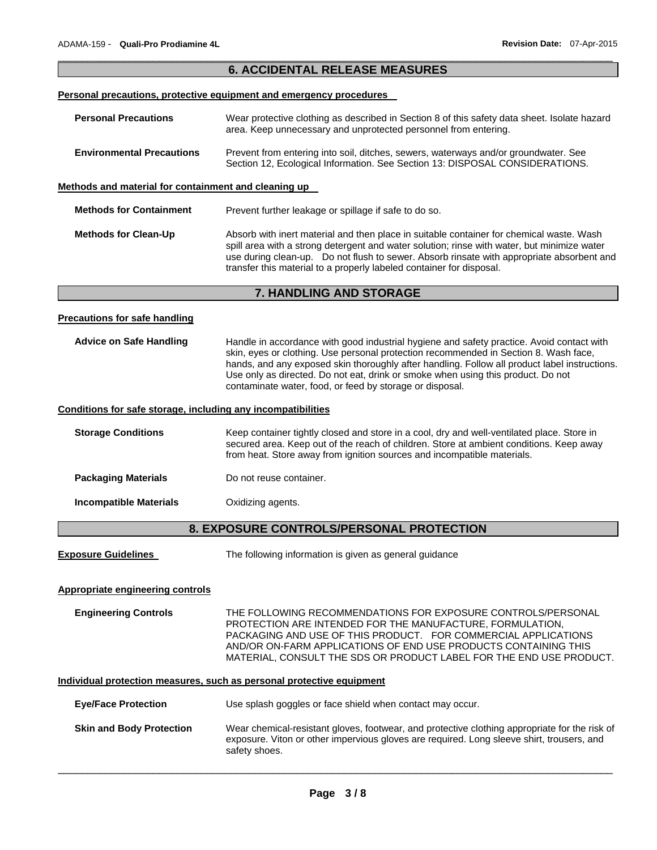|                                                              | <b>6. ACCIDENTAL RELEASE MEASURES</b>                                                                                                                                                                                                                                                                                                                                                                                              |  |  |  |  |
|--------------------------------------------------------------|------------------------------------------------------------------------------------------------------------------------------------------------------------------------------------------------------------------------------------------------------------------------------------------------------------------------------------------------------------------------------------------------------------------------------------|--|--|--|--|
|                                                              | Personal precautions, protective equipment and emergency procedures                                                                                                                                                                                                                                                                                                                                                                |  |  |  |  |
|                                                              |                                                                                                                                                                                                                                                                                                                                                                                                                                    |  |  |  |  |
| <b>Personal Precautions</b>                                  | Wear protective clothing as described in Section 8 of this safety data sheet. Isolate hazard<br>area. Keep unnecessary and unprotected personnel from entering.                                                                                                                                                                                                                                                                    |  |  |  |  |
| <b>Environmental Precautions</b>                             | Prevent from entering into soil, ditches, sewers, waterways and/or groundwater. See<br>Section 12, Ecological Information. See Section 13: DISPOSAL CONSIDERATIONS.                                                                                                                                                                                                                                                                |  |  |  |  |
| Methods and material for containment and cleaning up         |                                                                                                                                                                                                                                                                                                                                                                                                                                    |  |  |  |  |
| <b>Methods for Containment</b>                               | Prevent further leakage or spillage if safe to do so.                                                                                                                                                                                                                                                                                                                                                                              |  |  |  |  |
| <b>Methods for Clean-Up</b>                                  | Absorb with inert material and then place in suitable container for chemical waste. Wash<br>spill area with a strong detergent and water solution; rinse with water, but minimize water<br>use during clean-up. Do not flush to sewer. Absorb rinsate with appropriate absorbent and<br>transfer this material to a properly labeled container for disposal.                                                                       |  |  |  |  |
| 7. HANDLING AND STORAGE                                      |                                                                                                                                                                                                                                                                                                                                                                                                                                    |  |  |  |  |
|                                                              |                                                                                                                                                                                                                                                                                                                                                                                                                                    |  |  |  |  |
| <b>Precautions for safe handling</b>                         |                                                                                                                                                                                                                                                                                                                                                                                                                                    |  |  |  |  |
| <b>Advice on Safe Handling</b>                               | Handle in accordance with good industrial hygiene and safety practice. Avoid contact with<br>skin, eyes or clothing. Use personal protection recommended in Section 8. Wash face,<br>hands, and any exposed skin thoroughly after handling. Follow all product label instructions.<br>Use only as directed. Do not eat, drink or smoke when using this product. Do not<br>contaminate water, food, or feed by storage or disposal. |  |  |  |  |
| Conditions for safe storage, including any incompatibilities |                                                                                                                                                                                                                                                                                                                                                                                                                                    |  |  |  |  |
| <b>Storage Conditions</b>                                    | Keep container tightly closed and store in a cool, dry and well-ventilated place. Store in<br>secured area. Keep out of the reach of children. Store at ambient conditions. Keep away<br>from heat. Store away from ignition sources and incompatible materials.                                                                                                                                                                   |  |  |  |  |
| <b>Packaging Materials</b>                                   | Do not reuse container.                                                                                                                                                                                                                                                                                                                                                                                                            |  |  |  |  |
| <b>Incompatible Materials</b>                                | Oxidizing agents.                                                                                                                                                                                                                                                                                                                                                                                                                  |  |  |  |  |
| <b>8. EXPOSURE CONTROLS/PERSONAL PROTECTION</b>              |                                                                                                                                                                                                                                                                                                                                                                                                                                    |  |  |  |  |

**Exposure Guidelines** The following information is given as general guidance

## **Appropriate engineering controls**

**Engineering Controls** THE FOLLOWING RECOMMENDATIONS FOR EXPOSURE CONTROLS/PERSONAL PROTECTION ARE INTENDED FOR THE MANUFACTURE, FORMULATION, PACKAGING AND USE OF THIS PRODUCT. FOR COMMERCIAL APPLICATIONS AND/OR ON-FARM APPLICATIONS OF END USE PRODUCTS CONTAINING THIS MATERIAL, CONSULT THE SDS OR PRODUCT LABEL FOR THE END USE PRODUCT.

## **Individual protection measures, such as personal protective equipment**

| <b>Eve/Face Protection</b>      | Use splash goggles or face shield when contact may occur.                                                                                                                                                   |
|---------------------------------|-------------------------------------------------------------------------------------------------------------------------------------------------------------------------------------------------------------|
| <b>Skin and Body Protection</b> | Wear chemical-resistant gloves, footwear, and protective clothing appropriate for the risk of<br>exposure. Viton or other impervious gloves are required. Long sleeve shirt, trousers, and<br>safety shoes. |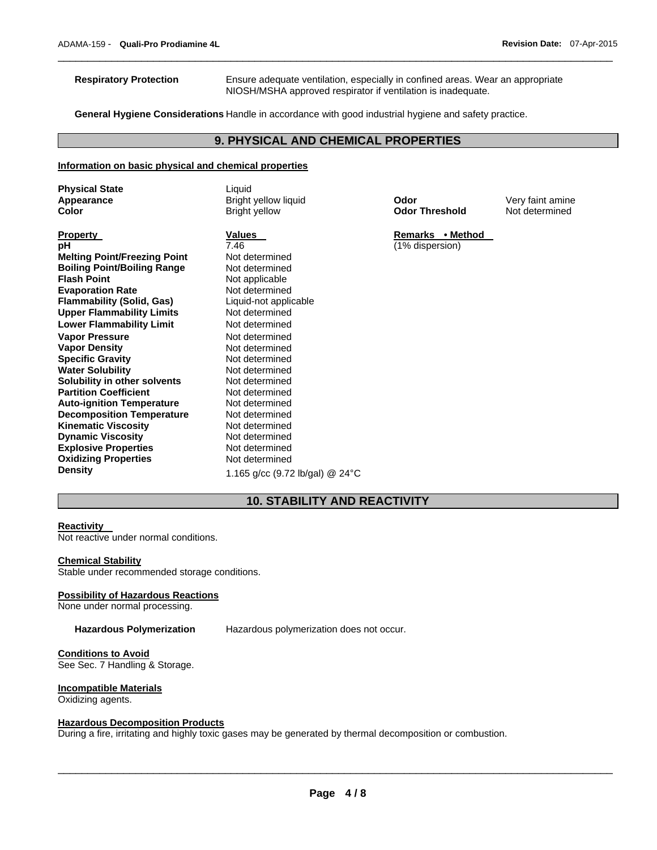**Respiratory Protection** Ensure adequate ventilation, especially in confined areas. Wear an appropriate NIOSH/MSHA approved respirator if ventilation is inadequate.

**General Hygiene Considerations** Handle in accordance with good industrial hygiene and safety practice.

## **9. PHYSICAL AND CHEMICAL PROPERTIES**

 $\Box$ 

## **Information on basic physical and chemical properties**

| <b>Physical State</b>               | Liquid                                     |                       |                  |  |  |
|-------------------------------------|--------------------------------------------|-----------------------|------------------|--|--|
| Appearance                          | Bright yellow liquid                       | Odor                  | Very faint amine |  |  |
| Color                               | <b>Bright yellow</b>                       | <b>Odor Threshold</b> | Not determined   |  |  |
|                                     |                                            |                       |                  |  |  |
| <b>Property</b>                     | <b>Values</b>                              | Remarks • Method      |                  |  |  |
| рH                                  | 7.46                                       | (1% dispersion)       |                  |  |  |
| <b>Melting Point/Freezing Point</b> | Not determined                             |                       |                  |  |  |
| <b>Boiling Point/Boiling Range</b>  | Not determined                             |                       |                  |  |  |
| <b>Flash Point</b>                  | Not applicable                             |                       |                  |  |  |
| <b>Evaporation Rate</b>             | Not determined                             |                       |                  |  |  |
| <b>Flammability (Solid, Gas)</b>    | Liquid-not applicable                      |                       |                  |  |  |
| <b>Upper Flammability Limits</b>    | Not determined                             |                       |                  |  |  |
| <b>Lower Flammability Limit</b>     | Not determined                             |                       |                  |  |  |
| <b>Vapor Pressure</b>               | Not determined                             |                       |                  |  |  |
| <b>Vapor Density</b>                | Not determined                             |                       |                  |  |  |
| <b>Specific Gravity</b>             | Not determined                             |                       |                  |  |  |
| <b>Water Solubility</b>             | Not determined                             |                       |                  |  |  |
| Solubility in other solvents        | Not determined                             |                       |                  |  |  |
| <b>Partition Coefficient</b>        | Not determined                             |                       |                  |  |  |
| <b>Auto-ignition Temperature</b>    | Not determined                             |                       |                  |  |  |
| <b>Decomposition Temperature</b>    | Not determined                             |                       |                  |  |  |
| <b>Kinematic Viscosity</b>          | Not determined                             |                       |                  |  |  |
| <b>Dynamic Viscosity</b>            | Not determined                             |                       |                  |  |  |
| <b>Explosive Properties</b>         | Not determined                             |                       |                  |  |  |
| <b>Oxidizing Properties</b>         | Not determined                             |                       |                  |  |  |
| <b>Density</b>                      | 1.165 g/cc (9.72 lb/gal) @ 24 $^{\circ}$ C |                       |                  |  |  |
|                                     |                                            |                       |                  |  |  |

## **10. STABILITY AND REACTIVITY**

#### **Reactivity**

Not reactive under normal conditions.

## **Chemical Stability**

Stable under recommended storage conditions.

#### **Possibility of Hazardous Reactions**

None under normal processing.

**Hazardous Polymerization** Hazardous polymerization does not occur.

## **Conditions to Avoid**

See Sec. 7 Handling & Storage.

#### **Incompatible Materials**

Oxidizing agents.

#### **Hazardous Decomposition Products**

During a fire, irritating and highly toxic gases may be generated by thermal decomposition or combustion.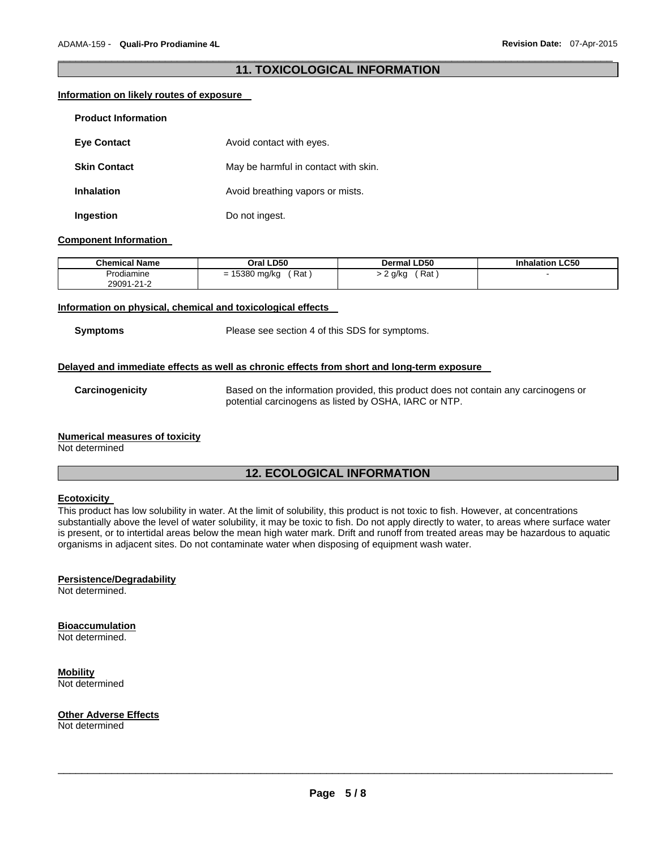## $\Box$ **11. TOXICOLOGICAL INFORMATION**

## **Information on likely routes of exposure**

| <b>Product Information</b> |                                      |
|----------------------------|--------------------------------------|
| <b>Eye Contact</b>         | Avoid contact with eyes.             |
| <b>Skin Contact</b>        | May be harmful in contact with skin. |
| <b>Inhalation</b>          | Avoid breathing vapors or mists.     |
| Ingestion                  | Do not ingest.                       |

#### **Component Information**

| Chemical Name | Oral LD50            | <b>Dermal LD50</b> | <b>Inhalation LC50</b> |
|---------------|----------------------|--------------------|------------------------|
| Prodiamine    | = 15380 mg/kg<br>Rat | Rat<br>2 g/kg      |                        |
| 29091-21-2    |                      |                    |                        |

## **Information on physical, chemical and toxicological effects**

**Symptoms** Please see section 4 of this SDS for symptoms.

## **Delayed and immediate effects as well as chronic effects from short and long-term exposure**

**Carcinogenicity** Based on the information provided, this product does not contain any carcinogens or potential carcinogens as listed by OSHA, IARC or NTP.

## **Numerical measures of toxicity**

Not determined

## **12. ECOLOGICAL INFORMATION**

## **Ecotoxicity**

This product has low solubility in water. At the limit of solubility, this product is not toxic to fish. However, at concentrations substantially above the level of water solubility, it may be toxic to fish. Do not apply directly to water, to areas where surface water is present, or to intertidal areas below the mean high water mark. Drift and runoff from treated areas may be hazardous to aquatic organisms in adjacent sites. Do not contaminate water when disposing of equipment wash water.

## **Persistence/Degradability**

Not determined.

#### **Bioaccumulation**

Not determined.

## **Mobility**

Not determined

#### **Other Adverse Effects**

Not determined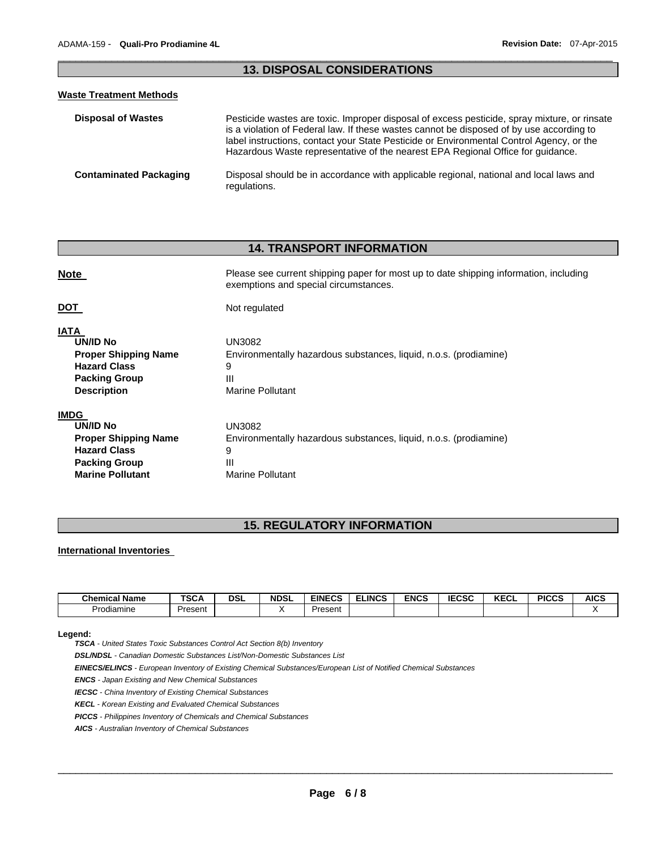## $\Box$ **13. DISPOSAL CONSIDERATIONS**

## **Waste Treatment Methods**

| <b>Disposal of Wastes</b>     | Pesticide wastes are toxic. Improper disposal of excess pesticide, spray mixture, or rinsate<br>is a violation of Federal law. If these wastes cannot be disposed of by use according to<br>label instructions, contact your State Pesticide or Environmental Control Agency, or the<br>Hazardous Waste representative of the nearest EPA Regional Office for guidance. |
|-------------------------------|-------------------------------------------------------------------------------------------------------------------------------------------------------------------------------------------------------------------------------------------------------------------------------------------------------------------------------------------------------------------------|
| <b>Contaminated Packaging</b> | Disposal should be in accordance with applicable regional, national and local laws and<br>regulations.                                                                                                                                                                                                                                                                  |

## **14. TRANSPORT INFORMATION**

| <b>Note</b>                                                                                                                        | Please see current shipping paper for most up to date shipping information, including<br>exemptions and special circumstances. |
|------------------------------------------------------------------------------------------------------------------------------------|--------------------------------------------------------------------------------------------------------------------------------|
| DOT                                                                                                                                | Not regulated                                                                                                                  |
| <b>IATA</b><br><b>UN/ID No</b><br><b>Proper Shipping Name</b><br><b>Hazard Class</b><br><b>Packing Group</b><br><b>Description</b> | UN3082<br>Environmentally hazardous substances, liquid, n.o.s. (prodiamine)<br>9<br>Ш<br>Marine Pollutant                      |
| <b>IMDG</b><br>UN/ID No<br><b>Proper Shipping Name</b><br><b>Hazard Class</b><br><b>Packing Group</b><br><b>Marine Pollutant</b>   | UN3082<br>Environmentally hazardous substances, liquid, n.o.s. (prodiamine)<br>9<br>Ш<br>Marine Pollutant                      |

## **15. REGULATORY INFORMATION**

## **International Inventories**

| <b>Chemical</b><br><b>Name</b> | TCO A<br>SGA | <b>DSL</b> | <b>NDSL</b> | <b>EINECS</b> | <b>ELINCS</b> | <b>ENCS</b> | <b>IECSC</b> | I/T<br>KECL | <b>PICCS</b> | AICS |
|--------------------------------|--------------|------------|-------------|---------------|---------------|-------------|--------------|-------------|--------------|------|
| Prodiamine                     | Present      |            |             | Present       |               |             |              |             |              |      |

#### **Legend:**

*TSCA - United States Toxic Substances Control Act Section 8(b) Inventory* 

*DSL/NDSL - Canadian Domestic Substances List/Non-Domestic Substances List* 

*EINECS/ELINCS - European Inventory of Existing Chemical Substances/European List of Notified Chemical Substances* 

*ENCS - Japan Existing and New Chemical Substances* 

*IECSC - China Inventory of Existing Chemical Substances* 

*KECL - Korean Existing and Evaluated Chemical Substances* 

*PICCS - Philippines Inventory of Chemicals and Chemical Substances* 

*AICS - Australian Inventory of Chemical Substances*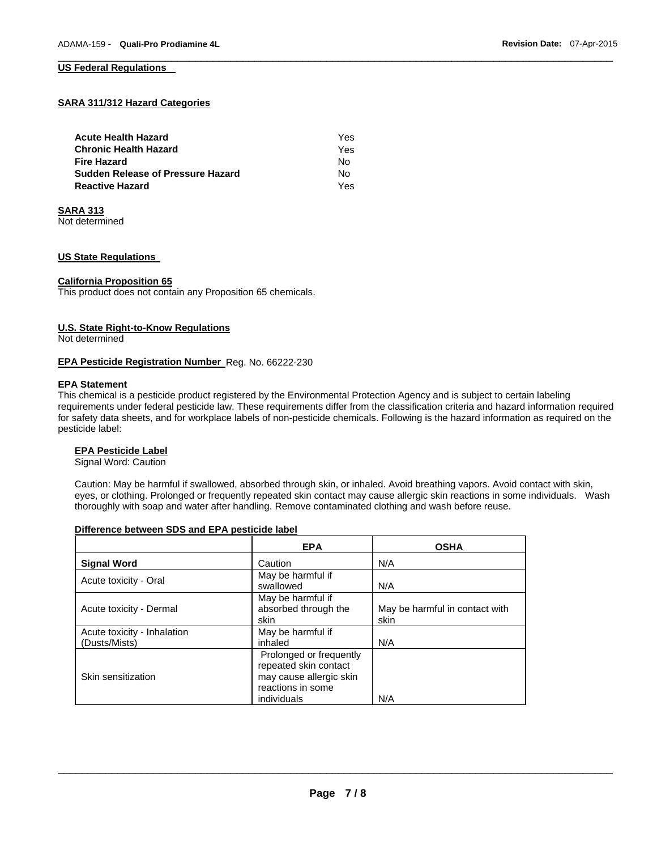## **SARA 311/312 Hazard Categories**

| <b>Acute Health Hazard</b>               | Yes |
|------------------------------------------|-----|
| <b>Chronic Health Hazard</b>             | Yes |
| <b>Fire Hazard</b>                       | N٥  |
| <b>Sudden Release of Pressure Hazard</b> | Nο  |
| <b>Reactive Hazard</b>                   | Yes |

#### **SARA 313**

Not determined

## **US State Regulations**

#### **California Proposition 65**

This product does not contain any Proposition 65 chemicals.

#### **U.S. State Right-to-Know Regulations**

Not determined

#### **EPA Pesticide Registration Number** Reg. No. 66222-230

#### **EPA Statement**

This chemical is a pesticide product registered by the Environmental Protection Agency and is subject to certain labeling requirements under federal pesticide law. These requirements differ from the classification criteria and hazard information required for safety data sheets, and for workplace labels of non-pesticide chemicals. Following is the hazard information as required on the pesticide label:

## **EPA Pesticide Label**

Signal Word: Caution

Caution: May be harmful if swallowed, absorbed through skin, or inhaled. Avoid breathing vapors. Avoid contact with skin, eyes, or clothing. Prolonged or frequently repeated skin contact may cause allergic skin reactions in some individuals. Wash thoroughly with soap and water after handling. Remove contaminated clothing and wash before reuse.

#### **Difference between SDS and EPA pesticide label**

|                                              | <b>EPA</b>                                                                                                      | <b>OSHA</b>                            |
|----------------------------------------------|-----------------------------------------------------------------------------------------------------------------|----------------------------------------|
| <b>Signal Word</b>                           | Caution                                                                                                         | N/A                                    |
| Acute toxicity - Oral                        | May be harmful if<br>swallowed                                                                                  | N/A                                    |
| Acute toxicity - Dermal                      | May be harmful if<br>absorbed through the<br>skin                                                               | May be harmful in contact with<br>skin |
| Acute toxicity - Inhalation<br>(Dusts/Mists) | May be harmful if<br>inhaled                                                                                    | N/A                                    |
| Skin sensitization                           | Prolonged or frequently<br>repeated skin contact<br>may cause allergic skin<br>reactions in some<br>individuals | N/A                                    |